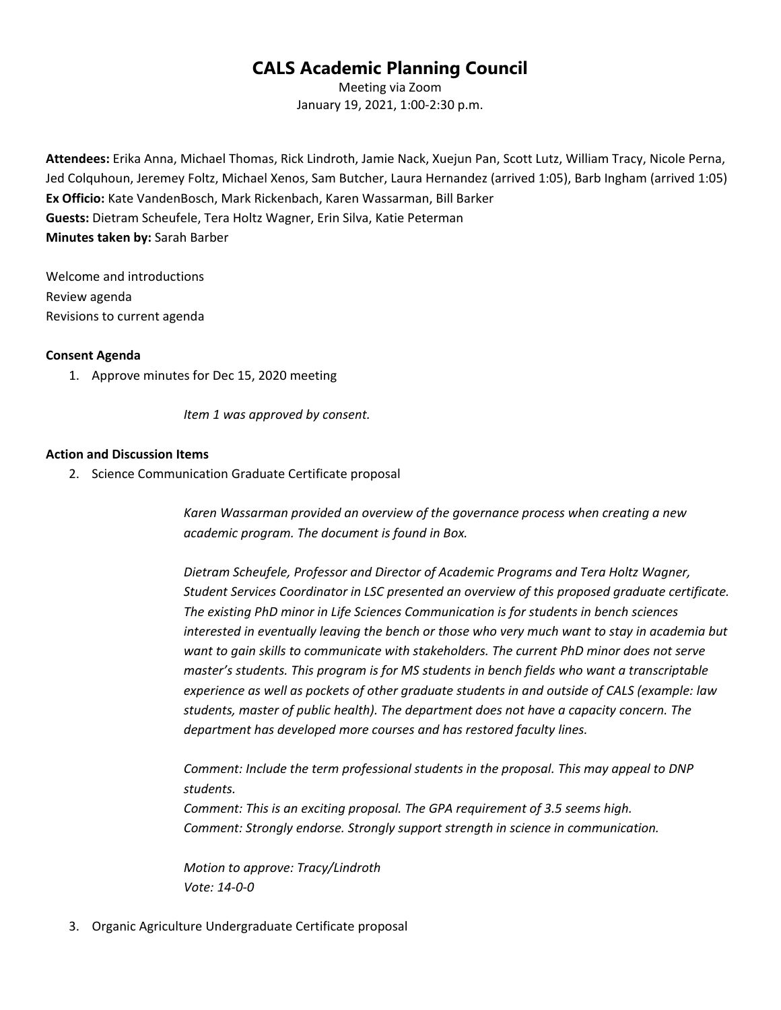## **CALS Academic Planning Council**

Meeting via Zoom January 19, 2021, 1:00-2:30 p.m.

**Attendees:** Erika Anna, Michael Thomas, Rick Lindroth, Jamie Nack, Xuejun Pan, Scott Lutz, William Tracy, Nicole Perna, Jed Colquhoun, Jeremey Foltz, Michael Xenos, Sam Butcher, Laura Hernandez (arrived 1:05), Barb Ingham (arrived 1:05) **Ex Officio:** Kate VandenBosch, Mark Rickenbach, Karen Wassarman, Bill Barker **Guests:** Dietram Scheufele, Tera Holtz Wagner, Erin Silva, Katie Peterman **Minutes taken by:** Sarah Barber

Welcome and introductions Review agenda Revisions to current agenda

## **Consent Agenda**

1. Approve minutes for Dec 15, 2020 meeting

*Item 1 was approved by consent.* 

## **Action and Discussion Items**

2. Science Communication Graduate Certificate proposal

*Karen Wassarman provided an overview of the governance process when creating a new academic program. The document is found in Box.* 

*Dietram Scheufele, Professor and Director of Academic Programs and Tera Holtz Wagner, Student Services Coordinator in LSC presented an overview of this proposed graduate certificate. The existing PhD minor in Life Sciences Communication is for students in bench sciences interested in eventually leaving the bench or those who very much want to stay in academia but want to gain skills to communicate with stakeholders. The current PhD minor does not serve master's students. This program is for MS students in bench fields who want a transcriptable experience as well as pockets of other graduate students in and outside of CALS (example: law students, master of public health). The department does not have a capacity concern. The department has developed more courses and has restored faculty lines.* 

*Comment: Include the term professional students in the proposal. This may appeal to DNP students.* 

*Comment: This is an exciting proposal. The GPA requirement of 3.5 seems high. Comment: Strongly endorse. Strongly support strength in science in communication.*

*Motion to approve: Tracy/Lindroth Vote: 14-0-0*

3. Organic Agriculture Undergraduate Certificate proposal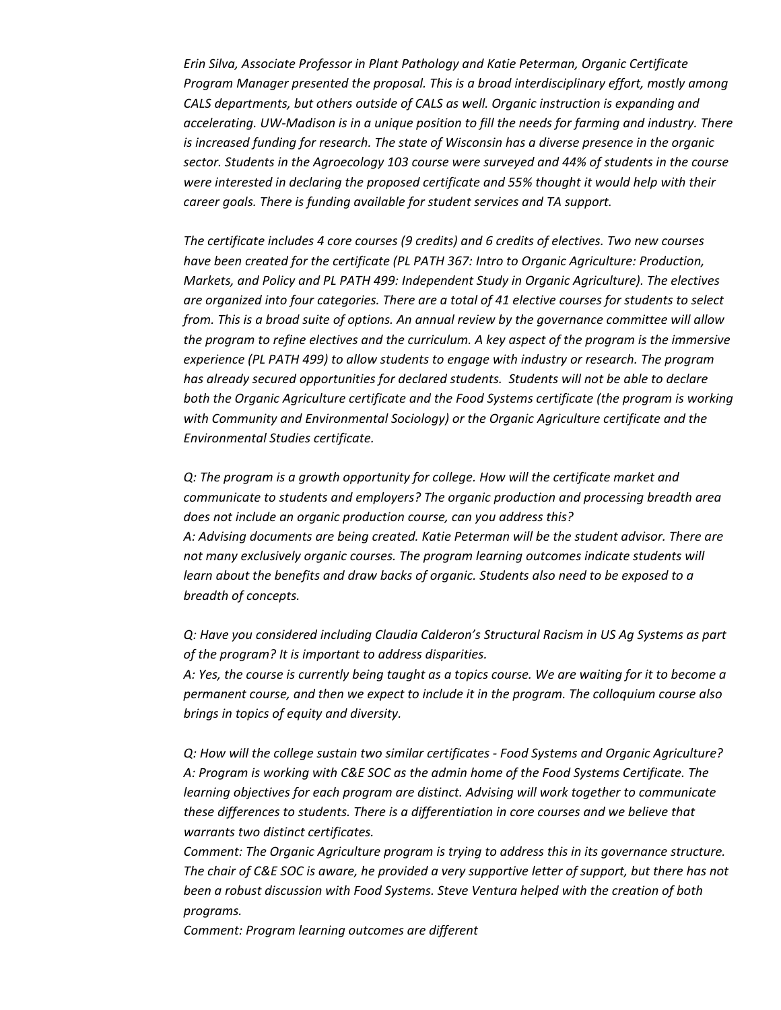*Erin Silva, Associate Professor in Plant Pathology and Katie Peterman, Organic Certificate Program Manager presented the proposal. This is a broad interdisciplinary effort, mostly among CALS departments, but others outside of CALS as well. Organic instruction is expanding and accelerating. UW-Madison is in a unique position to fill the needs for farming and industry. There is increased funding for research. The state of Wisconsin has a diverse presence in the organic sector. Students in the Agroecology 103 course were surveyed and 44% of students in the course were interested in declaring the proposed certificate and 55% thought it would help with their career goals. There is funding available for student services and TA support.*

*The certificate includes 4 core courses (9 credits) and 6 credits of electives. Two new courses have been created for the certificate (PL PATH 367: Intro to Organic Agriculture: Production, Markets, and Policy and PL PATH 499: Independent Study in Organic Agriculture). The electives are organized into four categories. There are a total of 41 elective courses for students to select from. This is a broad suite of options. An annual review by the governance committee will allow the program to refine electives and the curriculum. A key aspect of the program is the immersive experience (PL PATH 499) to allow students to engage with industry or research. The program has already secured opportunities for declared students. Students will not be able to declare both the Organic Agriculture certificate and the Food Systems certificate (the program is working with Community and Environmental Sociology) or the Organic Agriculture certificate and the Environmental Studies certificate.*

*Q: The program is a growth opportunity for college. How will the certificate market and communicate to students and employers? The organic production and processing breadth area does not include an organic production course, can you address this? A: Advising documents are being created. Katie Peterman will be the student advisor. There are not many exclusively organic courses. The program learning outcomes indicate students will learn about the benefits and draw backs of organic. Students also need to be exposed to a breadth of concepts.* 

*Q: Have you considered including Claudia Calderon's Structural Racism in US Ag Systems as part of the program? It is important to address disparities.*

*A: Yes, the course is currently being taught as a topics course. We are waiting for it to become a permanent course, and then we expect to include it in the program. The colloquium course also brings in topics of equity and diversity.* 

*Q: How will the college sustain two similar certificates - Food Systems and Organic Agriculture? A: Program is working with C&E SOC as the admin home of the Food Systems Certificate. The learning objectives for each program are distinct. Advising will work together to communicate these differences to students. There is a differentiation in core courses and we believe that warrants two distinct certificates.* 

*Comment: The Organic Agriculture program is trying to address this in its governance structure. The chair of C&E SOC is aware, he provided a very supportive letter of support, but there has not been a robust discussion with Food Systems. Steve Ventura helped with the creation of both programs.*

*Comment: Program learning outcomes are different*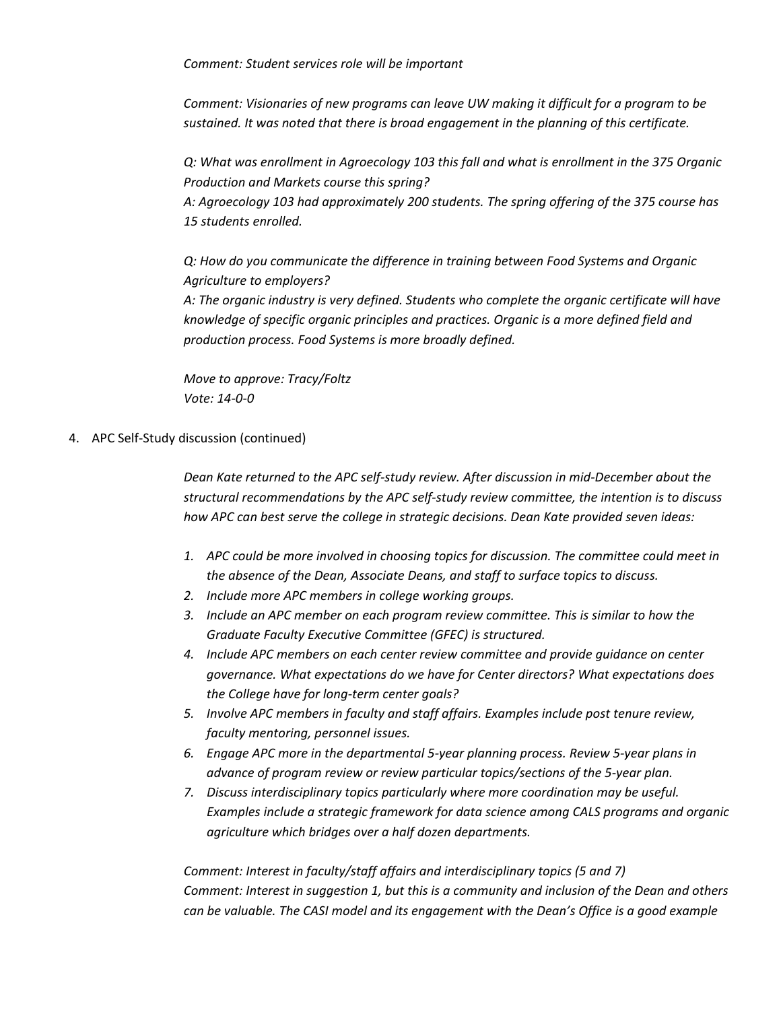*Comment: Student services role will be important*

*Comment: Visionaries of new programs can leave UW making it difficult for a program to be sustained. It was noted that there is broad engagement in the planning of this certificate.*

*Q: What was enrollment in Agroecology 103 this fall and what is enrollment in the 375 Organic Production and Markets course this spring?*

*A: Agroecology 103 had approximately 200 students. The spring offering of the 375 course has 15 students enrolled.*

*Q: How do you communicate the difference in training between Food Systems and Organic Agriculture to employers?*

*A: The organic industry is very defined. Students who complete the organic certificate will have knowledge of specific organic principles and practices. Organic is a more defined field and production process. Food Systems is more broadly defined.* 

*Move to approve: Tracy/Foltz Vote: 14-0-0*

4. APC Self-Study discussion (continued)

*Dean Kate returned to the APC self-study review. After discussion in mid-December about the structural recommendations by the APC self-study review committee, the intention is to discuss how APC can best serve the college in strategic decisions. Dean Kate provided seven ideas:*

- *1. APC could be more involved in choosing topics for discussion. The committee could meet in the absence of the Dean, Associate Deans, and staff to surface topics to discuss.*
- *2. Include more APC members in college working groups.*
- *3. Include an APC member on each program review committee. This is similar to how the Graduate Faculty Executive Committee (GFEC) is structured.*
- *4. Include APC members on each center review committee and provide guidance on center governance. What expectations do we have for Center directors? What expectations does the College have for long-term center goals?*
- *5. Involve APC members in faculty and staff affairs. Examples include post tenure review, faculty mentoring, personnel issues.*
- *6. Engage APC more in the departmental 5-year planning process. Review 5-year plans in advance of program review or review particular topics/sections of the 5-year plan.*
- *7. Discuss interdisciplinary topics particularly where more coordination may be useful. Examples include a strategic framework for data science among CALS programs and organic agriculture which bridges over a half dozen departments.*

*Comment: Interest in faculty/staff affairs and interdisciplinary topics (5 and 7) Comment: Interest in suggestion 1, but this is a community and inclusion of the Dean and others can be valuable. The CASI model and its engagement with the Dean's Office is a good example*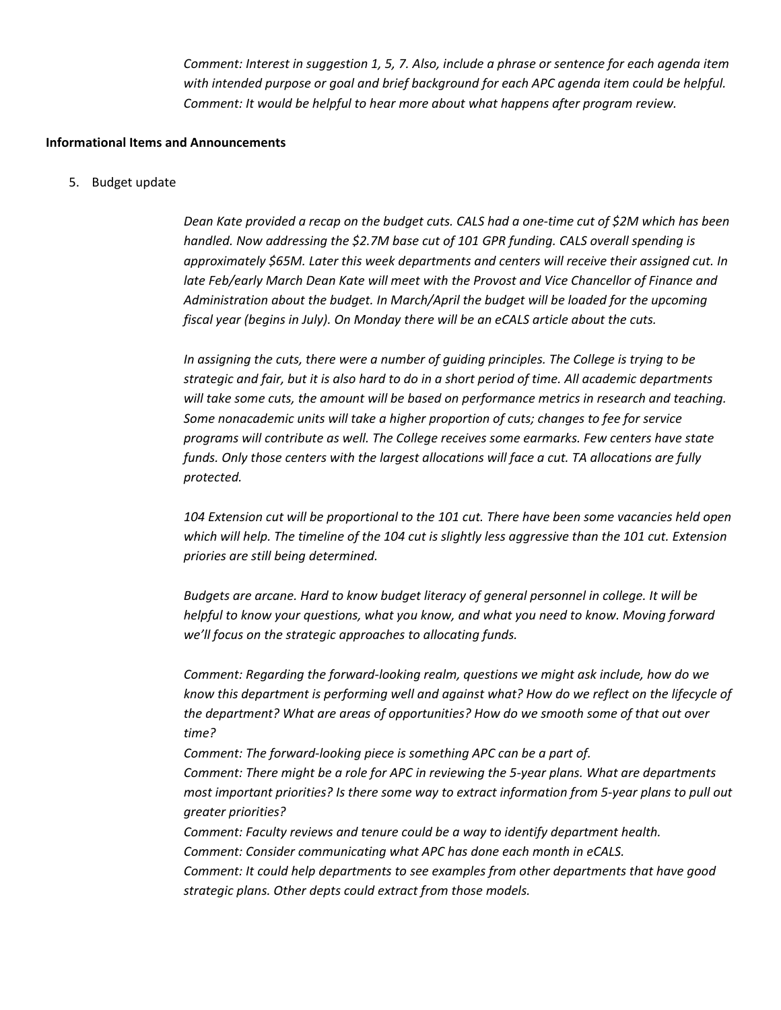*Comment: Interest in suggestion 1, 5, 7. Also, include a phrase or sentence for each agenda item with intended purpose or goal and brief background for each APC agenda item could be helpful. Comment: It would be helpful to hear more about what happens after program review.* 

## **Informational Items and Announcements**

5. Budget update

*Dean Kate provided a recap on the budget cuts. CALS had a one-time cut of \$2M which has been handled. Now addressing the \$2.7M base cut of 101 GPR funding. CALS overall spending is approximately \$65M. Later this week departments and centers will receive their assigned cut. In late Feb/early March Dean Kate will meet with the Provost and Vice Chancellor of Finance and Administration about the budget. In March/April the budget will be loaded for the upcoming fiscal year (begins in July). On Monday there will be an eCALS article about the cuts.* 

*In assigning the cuts, there were a number of guiding principles. The College is trying to be strategic and fair, but it is also hard to do in a short period of time. All academic departments will take some cuts, the amount will be based on performance metrics in research and teaching. Some nonacademic units will take a higher proportion of cuts; changes to fee for service programs will contribute as well. The College receives some earmarks. Few centers have state funds. Only those centers with the largest allocations will face a cut. TA allocations are fully protected.* 

*104 Extension cut will be proportional to the 101 cut. There have been some vacancies held open which will help. The timeline of the 104 cut is slightly less aggressive than the 101 cut. Extension priories are still being determined.* 

*Budgets are arcane. Hard to know budget literacy of general personnel in college. It will be helpful to know your questions, what you know, and what you need to know. Moving forward we'll focus on the strategic approaches to allocating funds.* 

*Comment: Regarding the forward-looking realm, questions we might ask include, how do we know this department is performing well and against what? How do we reflect on the lifecycle of the department? What are areas of opportunities? How do we smooth some of that out over time?*

*Comment: The forward-looking piece is something APC can be a part of.* 

*Comment: There might be a role for APC in reviewing the 5-year plans. What are departments most important priorities? Is there some way to extract information from 5-year plans to pull out greater priorities?*

*Comment: Faculty reviews and tenure could be a way to identify department health.* 

*Comment: Consider communicating what APC has done each month in eCALS.* 

*Comment: It could help departments to see examples from other departments that have good strategic plans. Other depts could extract from those models.*